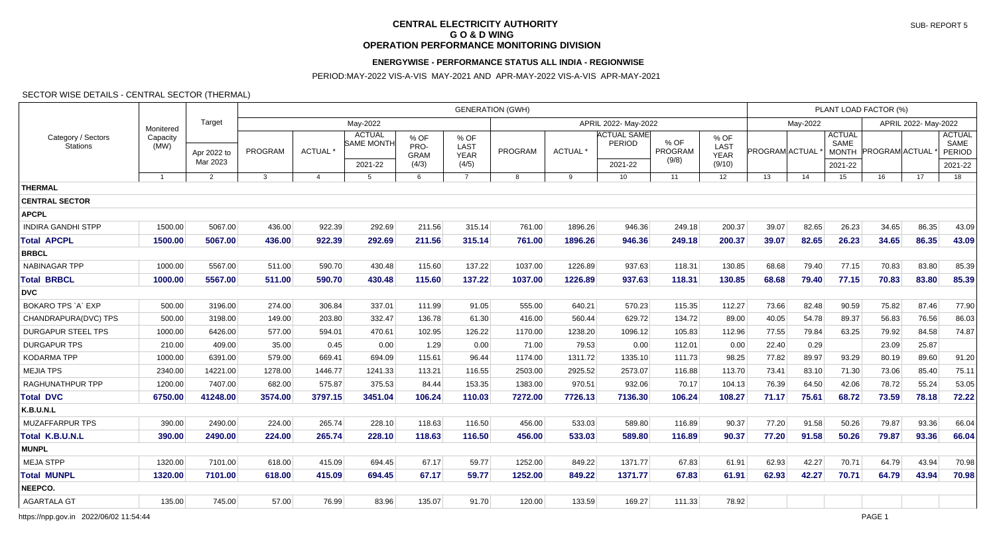# **CENTRAL ELECTRICITY AUTHORITY G O & D WING OPERATION PERFORMANCE MONITORING DIVISION**

## **ENERGYWISE - PERFORMANCE STATUS ALL INDIA - REGIONWISE**

PERIOD:MAY-2022 VIS-A-VIS MAY-2021 AND APR-MAY-2022 VIS-A-VIS APR-MAY-2021

#### SECTOR WISE DETAILS - CENTRAL SECTOR (THERMAL)

|                                       |                  |                         | <b>GENERATION (GWH)</b> |                |                             |                             |                             |         |                     |                              |                          |                             |                       |       | PLANT LOAD FACTOR (%) |                      |       |                                 |  |  |  |
|---------------------------------------|------------------|-------------------------|-------------------------|----------------|-----------------------------|-----------------------------|-----------------------------|---------|---------------------|------------------------------|--------------------------|-----------------------------|-----------------------|-------|-----------------------|----------------------|-------|---------------------------------|--|--|--|
| Category / Sectors<br><b>Stations</b> | Monitered        | Target                  | May-2022                |                |                             |                             |                             |         | May-2022            |                              |                          | APRIL 2022- May-2022        |                       |       |                       |                      |       |                                 |  |  |  |
|                                       | Capacity<br>(MW) | Apr 2022 to<br>Mar 2023 | PROGRAM                 | ACTUAL *       | <b>ACTUAL</b><br>SAME MONTH | % OF<br>PRO-<br><b>GRAM</b> | % OF<br>LAST<br><b>YEAR</b> | PROGRAM | ACTUAL <sup>*</sup> | <b>ACTUAL SAME</b><br>PERIOD | % OF<br>PROGRAM<br>(9/8) | % OF<br>LAST<br><b>YEAR</b> | <b>PROGRAM ACTUAL</b> |       | <b>ACTUAL</b><br>SAME | MONTH PROGRAM ACTUAL |       | <b>ACTUAL</b><br>SAME<br>PERIOD |  |  |  |
|                                       | $\mathbf{1}$     |                         |                         |                | 2021-22                     | (4/3)                       | (4/5)                       |         | 9                   | 2021-22<br>10 <sup>°</sup>   |                          | (9/10)                      |                       |       | 2021-22               |                      | 17    | 2021-22<br>18                   |  |  |  |
| <b>THERMAL</b>                        |                  | $\overline{2}$          | $\mathbf{3}$            | $\overline{4}$ | $5^{\circ}$                 | 6                           | $\overline{7}$              | 8       |                     |                              | 11                       | 12                          | 13                    | 14    | 15                    | 16                   |       |                                 |  |  |  |
| <b>CENTRAL SECTOR</b>                 |                  |                         |                         |                |                             |                             |                             |         |                     |                              |                          |                             |                       |       |                       |                      |       |                                 |  |  |  |
| <b>APCPL</b>                          |                  |                         |                         |                |                             |                             |                             |         |                     |                              |                          |                             |                       |       |                       |                      |       |                                 |  |  |  |
| <b>INDIRA GANDHI STPP</b>             | 1500.00          | 5067.00                 | 436.00                  | 922.39         | 292.69                      | 211.56                      | 315.14                      | 761.00  | 1896.26             | 946.36                       | 249.18                   | 200.37                      | 39.07                 | 82.65 | 26.23                 | 34.65                | 86.35 | 43.09                           |  |  |  |
| <b>Total APCPL</b>                    | 1500.00          | 5067.00                 | 436.00                  | 922.39         | 292.69                      | 211.56                      | 315.14                      | 761.00  | 1896.26             | 946.36                       | 249.18                   | 200.37                      | 39.07                 | 82.65 | 26.23                 | 34.65                | 86.35 | 43.09                           |  |  |  |
| <b>BRBCL</b>                          |                  |                         |                         |                |                             |                             |                             |         |                     |                              |                          |                             |                       |       |                       |                      |       |                                 |  |  |  |
| NABINAGAR TPP                         | 1000.00          | 5567.00                 | 511.00                  | 590.70         | 430.48                      | 115.60                      | 137.22                      | 1037.00 | 1226.89             | 937.63                       | 118.31                   | 130.85                      | 68.68                 | 79.40 | 77.15                 | 70.83                | 83.80 | 85.39                           |  |  |  |
| <b>Total BRBCL</b>                    | 1000.00          | 5567.00                 | 511.00                  | 590.70         | 430.48                      | 115.60                      | 137.22                      | 1037.00 | 1226.89             | 937.63                       | 118.31                   | 130.85                      | 68.68                 | 79.40 | 77.15                 | 70.83                | 83.80 | 85.39                           |  |  |  |
| <b>DVC</b>                            |                  |                         |                         |                |                             |                             |                             |         |                     |                              |                          |                             |                       |       |                       |                      |       |                                 |  |  |  |
| BOKARO TPS `A` EXP                    | 500.00           | 3196.00                 | 274.00                  | 306.84         | 337.01                      | 111.99                      | 91.05                       | 555.00  | 640.21              | 570.23                       | 115.35                   | 112.27                      | 73.66                 | 82.48 | 90.59                 | 75.82                | 87.46 | 77.90                           |  |  |  |
| CHANDRAPURA(DVC) TPS                  | 500.00           | 3198.00                 | 149.00                  | 203.80         | 332.47                      | 136.78                      | 61.30                       | 416.00  | 560.44              | 629.72                       | 134.72                   | 89.00                       | 40.05                 | 54.78 | 89.37                 | 56.83                | 76.56 | 86.03                           |  |  |  |
| <b>DURGAPUR STEEL TPS</b>             | 1000.00          | 6426.00                 | 577.00                  | 594.01         | 470.61                      | 102.95                      | 126.22                      | 1170.00 | 1238.20             | 1096.12                      | 105.83                   | 112.96                      | 77.55                 | 79.84 | 63.25                 | 79.92                | 84.58 | 74.87                           |  |  |  |
| <b>DURGAPUR TPS</b>                   | 210.00           | 409.00                  | 35.00                   | 0.45           | 0.00                        | 1.29                        | 0.00                        | 71.00   | 79.53               | 0.00                         | 112.01                   | 0.00                        | 22.40                 | 0.29  |                       | 23.09                | 25.87 |                                 |  |  |  |
| KODARMA TPP                           | 1000.00          | 6391.00                 | 579.00                  | 669.41         | 694.09                      | 115.61                      | 96.44                       | 1174.00 | 1311.72             | 1335.10                      | 111.73                   | 98.25                       | 77.82                 | 89.97 | 93.29                 | 80.19                | 89.60 | 91.20                           |  |  |  |
| <b>MEJIA TPS</b>                      | 2340.00          | 14221.00                | 1278.00                 | 1446.77        | 1241.33                     | 113.21                      | 116.55                      | 2503.00 | 2925.52             | 2573.07                      | 116.88                   | 113.70                      | 73.41                 | 83.10 | 71.30                 | 73.06                | 85.40 | 75.11                           |  |  |  |
| <b>RAGHUNATHPUR TPP</b>               | 1200.00          | 7407.00                 | 682.00                  | 575.87         | 375.53                      | 84.44                       | 153.35                      | 1383.00 | 970.51              | 932.06                       | 70.17                    | 104.13                      | 76.39                 | 64.50 | 42.06                 | 78.72                | 55.24 | 53.05                           |  |  |  |
| <b>Total DVC</b>                      | 6750.00          | 41248.00                | 3574.00                 | 3797.15        | 3451.04                     | 106.24                      | 110.03                      | 7272.00 | 7726.13             | 7136.30                      | 106.24                   | 108.27                      | 71.17                 | 75.61 | 68.72                 | 73.59                | 78.18 | 72.22                           |  |  |  |
| K.B.U.N.L                             |                  |                         |                         |                |                             |                             |                             |         |                     |                              |                          |                             |                       |       |                       |                      |       |                                 |  |  |  |
| <b>MUZAFFARPUR TPS</b>                | 390.00           | 2490.00                 | 224.00                  | 265.74         | 228.10                      | 118.63                      | 116.50                      | 456.00  | 533.03              | 589.80                       | 116.89                   | 90.37                       | 77.20                 | 91.58 | 50.26                 | 79.87                | 93.36 | 66.04                           |  |  |  |
| <b>Total K.B.U.N.L</b>                | 390.00           | 2490.00                 | 224.00                  | 265.74         | 228.10                      | 118.63                      | 116.50                      | 456.00  | 533.03              | 589.80                       | 116.89                   | 90.37                       | 77.20                 | 91.58 | 50.26                 | 79.87                | 93.36 | 66.04                           |  |  |  |
| <b>MUNPL</b>                          |                  |                         |                         |                |                             |                             |                             |         |                     |                              |                          |                             |                       |       |                       |                      |       |                                 |  |  |  |
| <b>MEJA STPP</b>                      | 1320.00          | 7101.00                 | 618.00                  | 415.09         | 694.45                      | 67.17                       | 59.77                       | 1252.00 | 849.22              | 1371.77                      | 67.83                    | 61.91                       | 62.93                 | 42.27 | 70.71                 | 64.79                | 43.94 | 70.98                           |  |  |  |
| <b>Total MUNPL</b>                    | 1320.00          | 7101.00                 | 618.00                  | 415.09         | 694.45                      | 67.17                       | 59.77                       | 1252.00 | 849.22              | 1371.77                      | 67.83                    | 61.91                       | 62.93                 | 42.27 | 70.71                 | 64.79                | 43.94 | 70.98                           |  |  |  |
| NEEPCO.                               |                  |                         |                         |                |                             |                             |                             |         |                     |                              |                          |                             |                       |       |                       |                      |       |                                 |  |  |  |
| <b>AGARTALA GT</b>                    | 135.00           | 745.00                  | 57.00                   | 76.99          | 83.96                       | 135.07                      | 91.70                       | 120.00  | 133.59              | 169.27                       | 111.33                   | 78.92                       |                       |       |                       |                      |       |                                 |  |  |  |

https://npp.gov.in 2022/06/02 11:54:44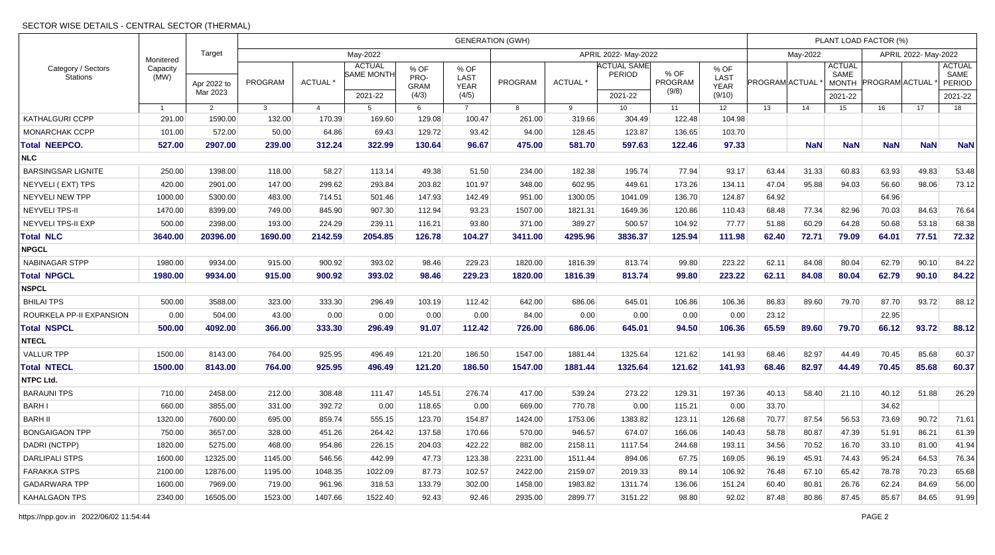### SECTOR WISE DETAILS - CENTRAL SECTOR (THERMAL)

| Category / Sectors<br><b>Stations</b> |                  |                         | <b>GENERATION (GWH)</b> |                |                                    |                             |                             |                      |          |                              |                          |                             |                       |            | PLANT LOAD FACTOR (%)                 |                       |            |                                        |  |  |  |  |
|---------------------------------------|------------------|-------------------------|-------------------------|----------------|------------------------------------|-----------------------------|-----------------------------|----------------------|----------|------------------------------|--------------------------|-----------------------------|-----------------------|------------|---------------------------------------|-----------------------|------------|----------------------------------------|--|--|--|--|
|                                       | Monitered        | Target                  | May-2022                |                |                                    |                             |                             | APRIL 2022- May-2022 |          |                              |                          |                             |                       | May-2022   |                                       | APRIL 2022- May-2022  |            |                                        |  |  |  |  |
|                                       | Capacity<br>(MW) | Apr 2022 to<br>Mar 2023 | PROGRAM                 | ACTUAL *       | <b>ACTUAL</b><br><b>SAME MONTH</b> | % OF<br>PRO-<br><b>GRAM</b> | % OF<br>LAST<br><b>YEAR</b> | PROGRAM              | ACTUAL * | <b>ACTUAL SAME</b><br>PERIOD | % OF<br>PROGRAM<br>(9/8) | % OF<br>LAST<br><b>YEAR</b> | <b>PROGRAM ACTUAL</b> |            | <b>ACTUAL</b><br>SAME<br><b>MONTH</b> | <b>PROGRAM ACTUAL</b> |            | <b>ACTUAL</b><br>SAME<br><b>PERIOD</b> |  |  |  |  |
|                                       |                  |                         |                         |                | 2021-22                            | (4/3)                       | (4/5)                       |                      |          | 2021-22                      |                          | (9/10)                      |                       |            | 2021-22                               |                       |            | 2021-22                                |  |  |  |  |
|                                       | $\overline{1}$   | $\overline{2}$          | 3                       | $\overline{4}$ | 5                                  | 6                           | $\overline{7}$              | 8                    | 9        | 10 <sup>1</sup>              | 11                       | 12 <sup>2</sup>             | 13                    | 14         | 15                                    | 16                    | 17         | 18                                     |  |  |  |  |
| KATHALGURI CCPP                       | 291.00           | 1590.00                 | 132.00                  | 170.39         | 169.60                             | 129.08                      | 100.47                      | 261.00               | 319.66   | 304.49                       | 122.48                   | 104.98                      |                       |            |                                       |                       |            |                                        |  |  |  |  |
| <b>MONARCHAK CCPP</b>                 | 101.00           | 572.00                  | 50.00                   | 64.86          | 69.43                              | 129.72                      | 93.42                       | 94.00                | 128.45   | 123.87                       | 136.65                   | 103.70                      |                       |            |                                       |                       |            |                                        |  |  |  |  |
| <b>Total NEEPCO.</b>                  | 527.00           | 2907.00                 | 239.00                  | 312.24         | 322.99                             | 130.64                      | 96.67                       | 475.00               | 581.70   | 597.63                       | 122.46                   | 97.33                       |                       | <b>NaN</b> | <b>NaN</b>                            | <b>NaN</b>            | <b>NaN</b> | <b>NaN</b>                             |  |  |  |  |
| <b>NLC</b>                            |                  |                         |                         |                |                                    |                             |                             |                      |          |                              |                          |                             |                       |            |                                       |                       |            |                                        |  |  |  |  |
| <b>BARSINGSAR LIGNITE</b>             | 250.00           | 1398.00                 | 118.00                  | 58.27          | 113.14                             | 49.38                       | 51.50                       | 234.00               | 182.38   | 195.74                       | 77.94                    | 93.17                       | 63.44                 | 31.33      | 60.83                                 | 63.93                 | 49.83      | 53.48                                  |  |  |  |  |
| NEYVELI (EXT) TPS                     | 420.00           | 2901.00                 | 147.00                  | 299.62         | 293.84                             | 203.82                      | 101.97                      | 348.00               | 602.95   | 449.61                       | 173.26                   | 134.11                      | 47.04                 | 95.88      | 94.03                                 | 56.60                 | 98.06      | 73.12                                  |  |  |  |  |
| NEYVELI NEW TPP                       | 1000.00          | 5300.00                 | 483.00                  | 714.51         | 501.46                             | 147.93                      | 142.49                      | 951.00               | 1300.05  | 1041.09                      | 136.70                   | 124.87                      | 64.92                 |            |                                       | 64.96                 |            |                                        |  |  |  |  |
| <b>NEYVELI TPS-II</b>                 | 1470.00          | 8399.00                 | 749.00                  | 845.90         | 907.30                             | 112.94                      | 93.23                       | 1507.00              | 1821.31  | 1649.36                      | 120.86                   | 110.43                      | 68.48                 | 77.34      | 82.96                                 | 70.03                 | 84.63      | 76.64                                  |  |  |  |  |
| <b>NEYVELI TPS-II EXP</b>             | 500.00           | 2398.00                 | 193.00                  | 224.29         | 239.11                             | 116.21                      | 93.80                       | 371.00               | 389.27   | 500.57                       | 104.92                   | 77.77                       | 51.88                 | 60.29      | 64.28                                 | 50.68                 | 53.18      | 68.38                                  |  |  |  |  |
| <b>Total NLC</b>                      | 3640.00          | 20396.00                | 1690.00                 | 2142.59        | 2054.85                            | 126.78                      | 104.27                      | 3411.00              | 4295.96  | 3836.37                      | 125.94                   | 111.98                      | 62.40                 | 72.71      | 79.09                                 | 64.01                 | 77.51      | 72.32                                  |  |  |  |  |
| <b>NPGCL</b>                          |                  |                         |                         |                |                                    |                             |                             |                      |          |                              |                          |                             |                       |            |                                       |                       |            |                                        |  |  |  |  |
| NABINAGAR STPP                        | 1980.00          | 9934.00                 | 915.00                  | 900.92         | 393.02                             | 98.46                       | 229.23                      | 1820.00              | 1816.39  | 813.74                       | 99.80                    | 223.22                      | 62.11                 | 84.08      | 80.04                                 | 62.79                 | 90.10      | 84.22                                  |  |  |  |  |
| <b>Total NPGCL</b>                    | 1980.00          | 9934.00                 | 915.00                  | 900.92         | 393.02                             | 98.46                       | 229.23                      | 1820.00              | 1816.39  | 813.74                       | 99.80                    | 223.22                      | 62.11                 | 84.08      | 80.04                                 | 62.79                 | 90.10      | 84.22                                  |  |  |  |  |
| <b>NSPCL</b>                          |                  |                         |                         |                |                                    |                             |                             |                      |          |                              |                          |                             |                       |            |                                       |                       |            |                                        |  |  |  |  |
| <b>BHILAI TPS</b>                     | 500.00           | 3588.00                 | 323.00                  | 333.30         | 296.49                             | 103.19                      | 112.42                      | 642.00               | 686.06   | 645.01                       | 106.86                   | 106.36                      | 86.83                 | 89.60      | 79.70                                 | 87.70                 | 93.72      | 88.12                                  |  |  |  |  |
| ROURKELA PP-II EXPANSION              | 0.00             | 504.00                  | 43.00                   | 0.00           | 0.00                               | 0.00                        | 0.00                        | 84.00                | 0.00     | 0.00                         | 0.00                     | 0.00                        | 23.12                 |            |                                       | 22.95                 |            |                                        |  |  |  |  |
| <b>Total NSPCL</b>                    | 500.00           | 4092.00                 | 366.00                  | 333.30         | 296.49                             | 91.07                       | 112.42                      | 726.00               | 686.06   | 645.01                       | 94.50                    | 106.36                      | 65.59                 | 89.60      | 79.70                                 | 66.12                 | 93.72      | 88.12                                  |  |  |  |  |
| <b>NTECL</b>                          |                  |                         |                         |                |                                    |                             |                             |                      |          |                              |                          |                             |                       |            |                                       |                       |            |                                        |  |  |  |  |
| <b>VALLUR TPP</b>                     | 1500.00          | 8143.00                 | 764.00                  | 925.95         | 496.49                             | 121.20                      | 186.50                      | 1547.00              | 1881.44  | 1325.64                      | 121.62                   | 141.93                      | 68.46                 | 82.97      | 44.49                                 | 70.45                 | 85.68      | 60.37                                  |  |  |  |  |
| <b>Total NTECL</b>                    | 1500.00          | 8143.00                 | 764.00                  | 925.95         | 496.49                             | 121.20                      | 186.50                      | 1547.00              | 1881.44  | 1325.64                      | 121.62                   | 141.93                      | 68.46                 | 82.97      | 44.49                                 | 70.45                 | 85.68      | 60.37                                  |  |  |  |  |
| <b>NTPC Ltd.</b>                      |                  |                         |                         |                |                                    |                             |                             |                      |          |                              |                          |                             |                       |            |                                       |                       |            |                                        |  |  |  |  |
| <b>BARAUNI TPS</b>                    | 710.00           | 2458.00                 | 212.00                  | 308.48         | 111.47                             | 145.51                      | 276.74                      | 417.00               | 539.24   | 273.22                       | 129.31                   | 197.36                      | 40.13                 | 58.40      | 21.10                                 | 40.12                 | 51.88      | 26.29                                  |  |  |  |  |
| <b>BARHI</b>                          | 660.00           | 3855.00                 | 331.00                  | 392.72         | 0.00                               | 118.65                      | 0.00                        | 669.00               | 770.78   | 0.00                         | 115.21                   | 0.00                        | 33.70                 |            |                                       | 34.62                 |            |                                        |  |  |  |  |
| <b>BARH II</b>                        | 1320.00          | 7600.00                 | 695.00                  | 859.74         | 555.15                             | 123.70                      | 154.87                      | 1424.00              | 1753.06  | 1383.82                      | 123.11                   | 126.68                      | 70.77                 | 87.54      | 56.53                                 | 73.69                 | 90.72      | 71.61                                  |  |  |  |  |
| <b>BONGAIGAON TPP</b>                 | 750.00           | 3657.00                 | 328.00                  | 451.26         | 264.42                             | 137.58                      | 170.66                      | 570.00               | 946.57   | 674.07                       | 166.06                   | 140.43                      | 58.78                 | 80.87      | 47.39                                 | 51.91                 | 86.21      | 61.39                                  |  |  |  |  |
| DADRI (NCTPP)                         | 1820.00          | 5275.00                 | 468.00                  | 954.86         | 226.15                             | 204.03                      | 422.22                      | 882.00               | 2158.11  | 1117.54                      | 244.68                   | 193.11                      | 34.56                 | 70.52      | 16.70                                 | 33.10                 | 81.00      | 41.94                                  |  |  |  |  |
| <b>DARLIPALI STPS</b>                 | 1600.00          | 12325.00                | 1145.00                 | 546.56         | 442.99                             | 47.73                       | 123.38                      | 2231.00              | 1511.44  | 894.06                       | 67.75                    | 169.05                      | 96.19                 | 45.91      | 74.43                                 | 95.24                 | 64.53      | 76.34                                  |  |  |  |  |
| <b>FARAKKA STPS</b>                   | 2100.00          | 12876.00                | 1195.00                 | 1048.35        | 1022.09                            | 87.73                       | 102.57                      | 2422.00              | 2159.07  | 2019.33                      | 89.14                    | 106.92                      | 76.48                 | 67.10      | 65.42                                 | 78.78                 | 70.23      | 65.68                                  |  |  |  |  |
| <b>GADARWARA TPP</b>                  | 1600.00          | 7969.00                 | 719.00                  | 961.96         | 318.53                             | 133.79                      | 302.00                      | 1458.00              | 1983.82  | 1311.74                      | 136.06                   | 151.24                      | 60.40                 | 80.81      | 26.76                                 | 62.24                 | 84.69      | 56.00                                  |  |  |  |  |
| <b>KAHALGAON TPS</b>                  | 2340.00          | 16505.00                | 1523.00                 | 1407.66        | 1522.40                            | 92.43                       | 92.46                       | 2935.00              | 2899.77  | 3151.22                      | 98.80                    | 92.02                       | 87.48                 | 80.86      | 87.45                                 | 85.67                 | 84.65      | 91.99                                  |  |  |  |  |
|                                       |                  |                         |                         |                |                                    |                             |                             |                      |          |                              |                          |                             |                       |            |                                       |                       |            |                                        |  |  |  |  |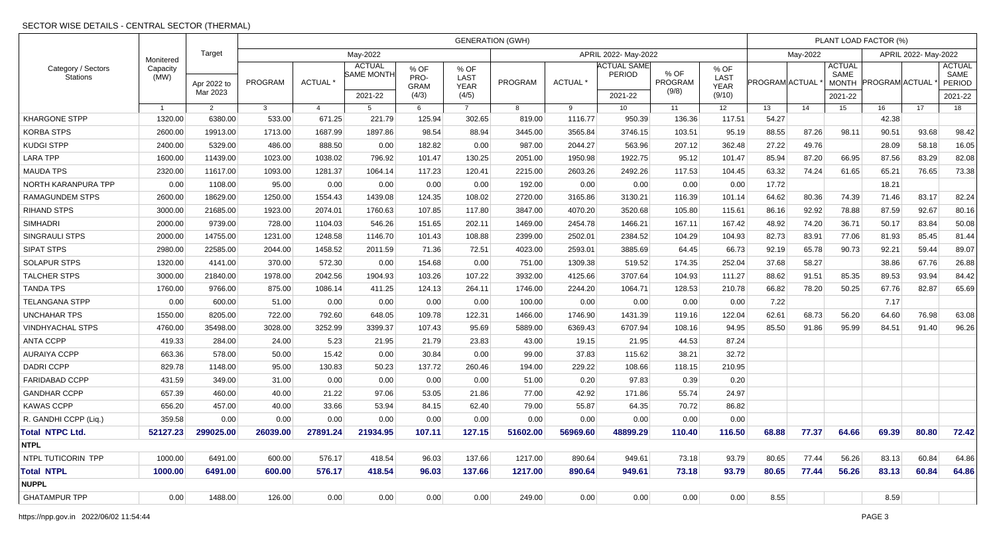|                                       |                               | Target                  | <b>GENERATION (GWH)</b> |                |                                               |                                      |                                      |          |                     |                                                |                          |                                       |                |          | PLANT LOAD FACTOR (%)                            |                       |                      |                                            |  |  |  |
|---------------------------------------|-------------------------------|-------------------------|-------------------------|----------------|-----------------------------------------------|--------------------------------------|--------------------------------------|----------|---------------------|------------------------------------------------|--------------------------|---------------------------------------|----------------|----------|--------------------------------------------------|-----------------------|----------------------|--------------------------------------------|--|--|--|
| Category / Sectors<br><b>Stations</b> | Monitered<br>Capacity<br>(MW) |                         | May-2022                |                |                                               |                                      |                                      |          |                     | APRIL 2022- May-2022                           |                          |                                       |                | May-2022 |                                                  |                       | APRIL 2022- May-2022 |                                            |  |  |  |
|                                       |                               | Apr 2022 to<br>Mar 2023 | PROGRAM                 | <b>ACTUAL</b>  | <b>ACTUAL</b><br><b>SAME MONTH</b><br>2021-22 | % OF<br>PRO-<br><b>GRAM</b><br>(4/3) | % OF<br>LAST<br><b>YEAR</b><br>(4/5) | PROGRAM  | ACTUAL <sup>*</sup> | <b>ACTUAL SAME</b><br><b>PERIOD</b><br>2021-22 | % OF<br>PROGRAM<br>(9/8) | % OF<br>LAST<br><b>YEAR</b><br>(9/10) | PROGRAM ACTUAL |          | <b>ACTUAL</b><br>SAME<br><b>MONTH</b><br>2021-22 | <b>PROGRAM ACTUAL</b> |                      | <b>ACTUAL</b><br>SAME<br>PERIOD<br>2021-22 |  |  |  |
|                                       | $\mathbf{1}$                  | 2                       | 3                       | $\overline{4}$ | 5                                             | 6                                    | $\overline{7}$                       | 8        | 9                   | 10 <sup>1</sup>                                | 11                       | 12                                    | 13             | 14       | 15                                               | 16                    | 17                   | 18                                         |  |  |  |
| <b>KHARGONE STPP</b>                  | 1320.00                       | 6380.00                 | 533.00                  | 671.25         | 221.79                                        | 125.94                               | 302.65                               | 819.00   | 1116.77             | 950.39                                         | 136.36                   | 117.51                                | 54.27          |          |                                                  | 42.38                 |                      |                                            |  |  |  |
| <b>KORBA STPS</b>                     | 2600.00                       | 19913.00                | 1713.00                 | 1687.99        | 1897.86                                       | 98.54                                | 88.94                                | 3445.00  | 3565.84             | 3746.15                                        | 103.51                   | 95.19                                 | 88.55          | 87.26    | 98.11                                            | 90.51                 | 93.68                | 98.42                                      |  |  |  |
| KUDGI STPP                            | 2400.00                       | 5329.00                 | 486.00                  | 888.50         | 0.00                                          | 182.82                               | 0.00                                 | 987.00   | 2044.27             | 563.96                                         | 207.12                   | 362.48                                | 27.22          | 49.76    |                                                  | 28.09                 | 58.18                | 16.05                                      |  |  |  |
| <b>LARA TPP</b>                       | 1600.00                       | 11439.00                | 1023.00                 | 1038.02        | 796.92                                        | 101.47                               | 130.25                               | 2051.00  | 1950.98             | 1922.75                                        | 95.12                    | 101.47                                | 85.94          | 87.20    | 66.95                                            | 87.56                 | 83.29                | 82.08                                      |  |  |  |
| <b>MAUDA TPS</b>                      | 2320.00                       | 11617.00                | 1093.00                 | 1281.37        | 1064.14                                       | 117.23                               | 120.41                               | 2215.00  | 2603.26             | 2492.26                                        | 117.53                   | 104.45                                | 63.32          | 74.24    | 61.65                                            | 65.21                 | 76.65                | 73.38                                      |  |  |  |
| NORTH KARANPURA TPP                   | 0.00                          | 1108.00                 | 95.00                   | 0.00           | 0.00                                          | 0.00                                 | 0.00                                 | 192.00   | 0.00                | 0.00                                           | 0.00                     | 0.00                                  | 17.72          |          |                                                  | 18.21                 |                      |                                            |  |  |  |
| <b>RAMAGUNDEM STPS</b>                | 2600.00                       | 18629.00                | 1250.00                 | 1554.43        | 1439.08                                       | 124.35                               | 108.02                               | 2720.00  | 3165.86             | 3130.21                                        | 116.39                   | 101.14                                | 64.62          | 80.36    | 74.39                                            | 71.46                 | 83.17                | 82.24                                      |  |  |  |
| <b>RIHAND STPS</b>                    | 3000.00                       | 21685.00                | 1923.00                 | 2074.01        | 1760.63                                       | 107.85                               | 117.80                               | 3847.00  | 4070.20             | 3520.68                                        | 105.80                   | 115.61                                | 86.16          | 92.92    | 78.88                                            | 87.59                 | 92.67                | 80.16                                      |  |  |  |
| <b>SIMHADRI</b>                       | 2000.00                       | 9739.00                 | 728.00                  | 1104.03        | 546.26                                        | 151.65                               | 202.11                               | 1469.00  | 2454.78             | 1466.21                                        | 167.11                   | 167.42                                | 48.92          | 74.20    | 36.71                                            | 50.17                 | 83.84                | 50.08                                      |  |  |  |
| <b>SINGRAULI STPS</b>                 | 2000.00                       | 14755.00                | 1231.00                 | 1248.58        | 1146.70                                       | 101.43                               | 108.88                               | 2399.00  | 2502.01             | 2384.52                                        | 104.29                   | 104.93                                | 82.73          | 83.91    | 77.06                                            | 81.93                 | 85.45                | 81.44                                      |  |  |  |
| <b>SIPAT STPS</b>                     | 2980.00                       | 22585.00                | 2044.00                 | 1458.52        | 2011.59                                       | 71.36                                | 72.51                                | 4023.00  | 2593.01             | 3885.69                                        | 64.45                    | 66.73                                 | 92.19          | 65.78    | 90.73                                            | 92.21                 | 59.44                | 89.07                                      |  |  |  |
| <b>SOLAPUR STPS</b>                   | 1320.00                       | 4141.00                 | 370.00                  | 572.30         | 0.00                                          | 154.68                               | 0.00                                 | 751.00   | 1309.38             | 519.52                                         | 174.35                   | 252.04                                | 37.68          | 58.27    |                                                  | 38.86                 | 67.76                | 26.88                                      |  |  |  |
| <b>TALCHER STPS</b>                   | 3000.00                       | 21840.00                | 1978.00                 | 2042.56        | 1904.93                                       | 103.26                               | 107.22                               | 3932.00  | 4125.66             | 3707.64                                        | 104.93                   | 111.27                                | 88.62          | 91.51    | 85.35                                            | 89.53                 | 93.94                | 84.42                                      |  |  |  |
| TANDA TPS                             | 1760.00                       | 9766.00                 | 875.00                  | 1086.14        | 411.25                                        | 124.13                               | 264.11                               | 1746.00  | 2244.20             | 1064.71                                        | 128.53                   | 210.78                                | 66.82          | 78.20    | 50.25                                            | 67.76                 | 82.87                | 65.69                                      |  |  |  |
| <b>TELANGANA STPP</b>                 | 0.00                          | 600.00                  | 51.00                   | 0.00           | 0.00                                          | 0.00                                 | 0.00                                 | 100.00   | 0.00                | 0.00                                           | 0.00                     | 0.00                                  | 7.22           |          |                                                  | 7.17                  |                      |                                            |  |  |  |
| <b>UNCHAHAR TPS</b>                   | 1550.00                       | 8205.00                 | 722.00                  | 792.60         | 648.05                                        | 109.78                               | 122.31                               | 1466.00  | 1746.90             | 1431.39                                        | 119.16                   | 122.04                                | 62.61          | 68.73    | 56.20                                            | 64.60                 | 76.98                | 63.08                                      |  |  |  |
| <b>VINDHYACHAL STPS</b>               | 4760.00                       | 35498.00                | 3028.00                 | 3252.99        | 3399.37                                       | 107.43                               | 95.69                                | 5889.00  | 6369.43             | 6707.94                                        | 108.16                   | 94.95                                 | 85.50          | 91.86    | 95.99                                            | 84.51                 | 91.40                | 96.26                                      |  |  |  |
| <b>ANTA CCPP</b>                      | 419.33                        | 284.00                  | 24.00                   | 5.23           | 21.95                                         | 21.79                                | 23.83                                | 43.00    | 19.15               | 21.95                                          | 44.53                    | 87.24                                 |                |          |                                                  |                       |                      |                                            |  |  |  |
| <b>AURAIYA CCPP</b>                   | 663.36                        | 578.00                  | 50.00                   | 15.42          | 0.00                                          | 30.84                                | 0.00                                 | 99.00    | 37.83               | 115.62                                         | 38.21                    | 32.72                                 |                |          |                                                  |                       |                      |                                            |  |  |  |
| <b>DADRI CCPP</b>                     | 829.78                        | 1148.00                 | 95.00                   | 130.83         | 50.23                                         | 137.72                               | 260.46                               | 194.00   | 229.22              | 108.66                                         | 118.15                   | 210.95                                |                |          |                                                  |                       |                      |                                            |  |  |  |
| <b>FARIDABAD CCPP</b>                 | 431.59                        | 349.00                  | 31.00                   | 0.00           | 0.00                                          | 0.00                                 | 0.00                                 | 51.00    | 0.20                | 97.83                                          | 0.39                     | 0.20                                  |                |          |                                                  |                       |                      |                                            |  |  |  |
| <b>GANDHAR CCPP</b>                   | 657.39                        | 460.00                  | 40.00                   | 21.22          | 97.06                                         | 53.05                                | 21.86                                | 77.00    | 42.92               | 171.86                                         | 55.74                    | 24.97                                 |                |          |                                                  |                       |                      |                                            |  |  |  |
| <b>KAWAS CCPP</b>                     | 656.20                        | 457.00                  | 40.00                   | 33.66          | 53.94                                         | 84.15                                | 62.40                                | 79.00    | 55.87               | 64.35                                          | 70.72                    | 86.82                                 |                |          |                                                  |                       |                      |                                            |  |  |  |
| R. GANDHI CCPP (Liq.)                 | 359.58                        | 0.00                    | 0.00                    | 0.00           | 0.00                                          | 0.00                                 | 0.00                                 | 0.00     | 0.00                | 0.00                                           | 0.00                     | 0.00                                  |                |          |                                                  |                       |                      |                                            |  |  |  |
| <b>Total NTPC Ltd.</b>                | 52127.23                      | 299025.00               | 26039.00                | 27891.24       | 21934.95                                      | 107.11                               | 127.15                               | 51602.00 | 56969.60            | 48899.29                                       | 110.40                   | 116.50                                | 68.88          | 77.37    | 64.66                                            | 69.39                 | 80.80                | 72.42                                      |  |  |  |
| <b>NTPL</b>                           |                               |                         |                         |                |                                               |                                      |                                      |          |                     |                                                |                          |                                       |                |          |                                                  |                       |                      |                                            |  |  |  |
| NTPL TUTICORIN TPP                    | 1000.00                       | 6491.00                 | 600.00                  | 576.17         | 418.54                                        | 96.03                                | 137.66                               | 1217.00  | 890.64              | 949.61                                         | 73.18                    | 93.79                                 | 80.65          | 77.44    | 56.26                                            | 83.13                 | 60.84                | 64.86                                      |  |  |  |
| <b>Total NTPL</b>                     | 1000.00                       | 6491.00                 | 600.00                  | 576.17         | 418.54                                        | 96.03                                | 137.66                               | 1217.00  | 890.64              | 949.61                                         | 73.18                    | 93.79                                 | 80.65          | 77.44    | 56.26                                            | 83.13                 | 60.84                | 64.86                                      |  |  |  |
| <b>NUPPL</b>                          |                               |                         |                         |                |                                               |                                      |                                      |          |                     |                                                |                          |                                       |                |          |                                                  |                       |                      |                                            |  |  |  |
| <b>GHATAMPUR TPP</b>                  | 0.00                          | 1488.00                 | 126.00                  | 0.00           | 0.00                                          | 0.00                                 | 0.00                                 | 249.00   | 0.00                | 0.00                                           | 0.00                     | 0.00                                  | 8.55           |          |                                                  | 8.59                  |                      |                                            |  |  |  |